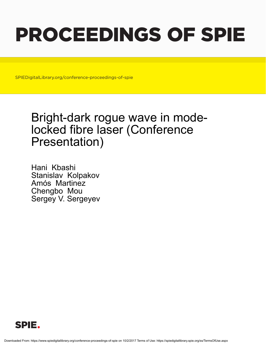## PROCEEDINGS OF SPIE

SPIEDigitalLibrary.org/conference-proceedings-of-spie

## Bright-dark rogue wave in modelocked fibre laser (Conference Presentation)

Hani Kbashi Stanislav Kolpakov Amós Martinez Chengbo Mou Sergey V. Sergeyev